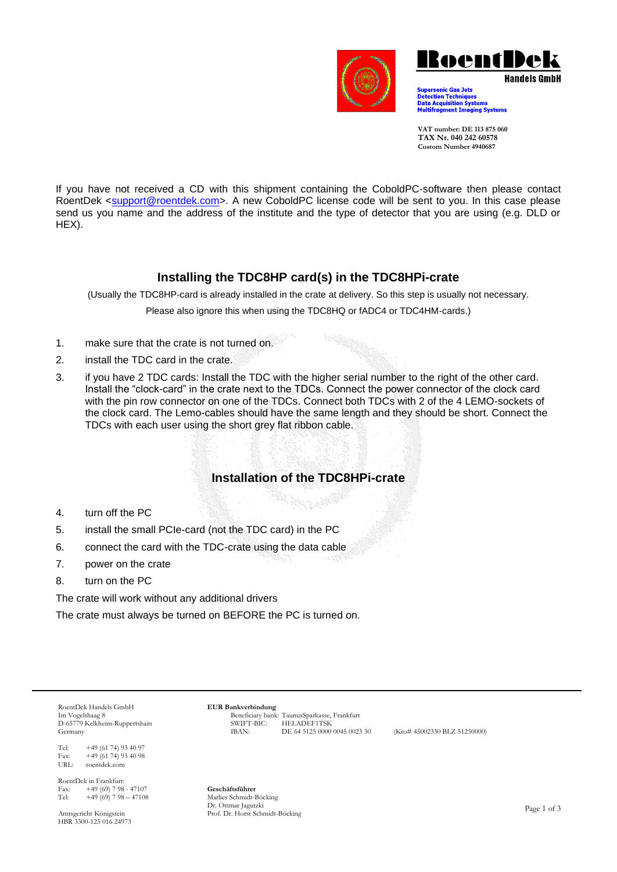



Supersonic Gas Jets<br>Detection Techniques<br>Data Acquisition Systems<br>Multifragment Imaging Systems

**VAT number: DE 113 875 060 TAX Nr. 040 242 60578 Custom Number 4940687**

If you have not received a CD with this shipment containing the CoboldPC-software then please contact RoentDek [<support@roentdek.com>](mailto:support@roentdek.com). A new CoboldPC license code will be sent to you. In this case please send us you name and the address of the institute and the type of detector that you are using (e.g. DLD or HEX).

### **Installing the TDC8HP card(s) in the TDC8HPi-crate**

(Usually the TDC8HP-card is already installed in the crate at delivery. So this step is usually not necessary.

Please also ignore this when using the TDC8HQ or fADC4 or TDC4HM-cards.)

- 1. make sure that the crate is not turned on.
- 2. install the TDC card in the crate.
- 3. if you have 2 TDC cards: Install the TDC with the higher serial number to the right of the other card. Install the "clock-card" in the crate next to the TDCs. Connect the power connector of the clock card with the pin row connector on one of the TDCs. Connect both TDCs with 2 of the 4 LEMO-sockets of the clock card. The Lemo-cables should have the same length and they should be short. Connect the TDCs with each user using the short grey flat ribbon cable.

# **Installation of the TDC8HPi-crate**

- 4. turn off the PC
- 5. install the small PCIe-card (not the TDC card) in the PC
- 6. connect the card with the TDC-crate using the data cable
- 7. power on the crate
- 8. turn on the PC

The crate will work without any additional drivers

The crate must always be turned on BEFORE the PC is turned on.

RoentDek Handels GmbH Im Vogelshaag 8 D-65779 Kelkheim-Ruppertshain Germany

Tel: +49 (61 74) 93 40 97 Fax:  $+49(61\ 74)93\ 40\ 98$ <br>URL: roentdek.com roentdek.com

RoentDek in Frankfurt: Fax:  $+49(69)798 - 47107$ <br>Tel:  $+49(69)798 - 47108$  $+49(69)$  7 98 – 47108

Amtsgericht Königstein HBR 3300-125 016 24973 **EUR Bankverbindung** Beneficiary bank: TaunusSparkasse, Frankfurt SWIFT-BIC: HELADEF1TSK<br>IBAN: DE 64 5125 0000 0045 0023 30

(Kto# 45002330 BLZ 51250000)

**Geschäftsführer** Marlies Schmidt-Böcking Dr. Ottmar Jagutzki Prof. Dr. Horst Schmidt-Böcking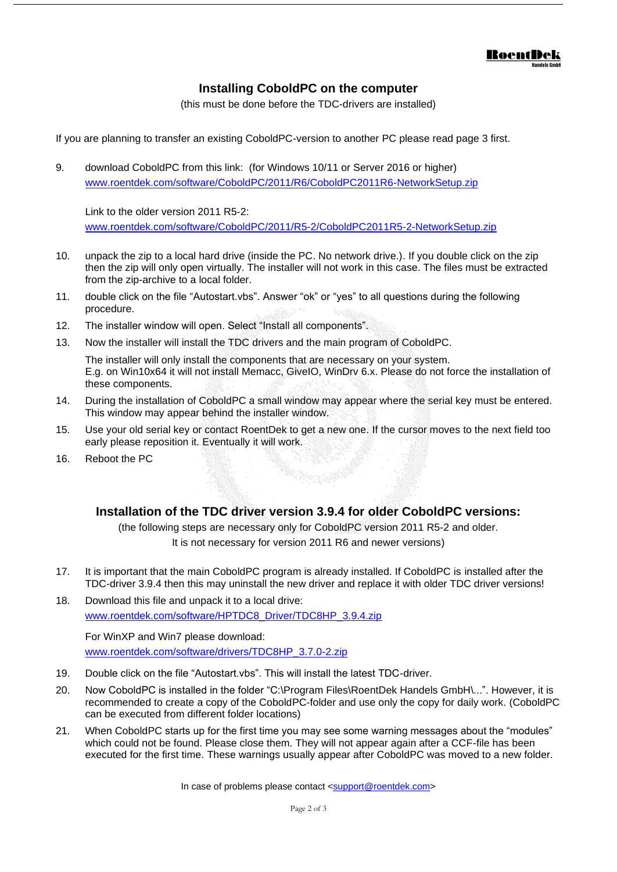

## **Installing CoboldPC on the computer**

(this must be done before the TDC-drivers are installed)

If you are planning to transfer an existing CoboldPC-version to another PC please read page 3 first.

9. download CoboldPC from this link: (for Windows 10/11 or Server 2016 or higher) [www.roentdek.com/software/CoboldPC/2011/R6/CoboldPC2011R6-NetworkSetup.zip](http://www.roentdek.com/software/CoboldPC/2011/R6/CoboldPC2011R6-NetworkSetup.zip)

Link to the older version 2011 R5-2: [www.roentdek.com/software/CoboldPC/2011/R5-2/CoboldPC2011R5-2-NetworkSetup.zip](http://www.roentdek.com/software/CoboldPC/2011/R5-2/CoboldPC2011R5-2-NetworkSetup.zip)

- 10. unpack the zip to a local hard drive (inside the PC. No network drive.). If you double click on the zip then the zip will only open virtually. The installer will not work in this case. The files must be extracted from the zip-archive to a local folder.
- 11. double click on the file "Autostart.vbs". Answer "ok" or "yes" to all questions during the following procedure.
- 12. The installer window will open. Select "Install all components".
- 13. Now the installer will install the TDC drivers and the main program of CoboldPC.

The installer will only install the components that are necessary on your system. E.g. on Win10x64 it will not install Memacc, GiveIO, WinDrv 6.x. Please do not force the installation of these components.

- 14. During the installation of CoboldPC a small window may appear where the serial key must be entered. This window may appear behind the installer window.
- 15. Use your old serial key or contact RoentDek to get a new one. If the cursor moves to the next field too early please reposition it. Eventually it will work.
- 16. Reboot the PC

#### **Installation of the TDC driver version 3.9.4 for older CoboldPC versions:**

(the following steps are necessary only for CoboldPC version 2011 R5-2 and older. It is not necessary for version 2011 R6 and newer versions)

- 17. It is important that the main CoboldPC program is already installed. If CoboldPC is installed after the TDC-driver 3.9.4 then this may uninstall the new driver and replace it with older TDC driver versions!
- 18. Download this file and unpack it to a local drive: [www.roentdek.com/software/HPTDC8\\_Driver/TDC8HP\\_3.9.4.zip](http://www.roentdek.com/software/HPTDC8_Driver/TDC8HP_3.9.4.zip)

For WinXP and Win7 please download: [www.roentdek.com/software/drivers/TDC8HP\\_3.7.0-2.zip](http://www.roentdek.com/software/drivers/TDC8HP_3.7.0-2.zip)

- 19. Double click on the file "Autostart.vbs". This will install the latest TDC-driver.
- 20. Now CoboldPC is installed in the folder "C:\Program Files\RoentDek Handels GmbH\...". However, it is recommended to create a copy of the CoboldPC-folder and use only the copy for daily work. (CoboldPC can be executed from different folder locations)
- 21. When CoboldPC starts up for the first time you may see some warning messages about the "modules" which could not be found. Please close them. They will not appear again after a CCF-file has been executed for the first time. These warnings usually appear after CoboldPC was moved to a new folder.

In case of problems please contact [<support@roentdek.com>](mailto:support@roentdek.com)